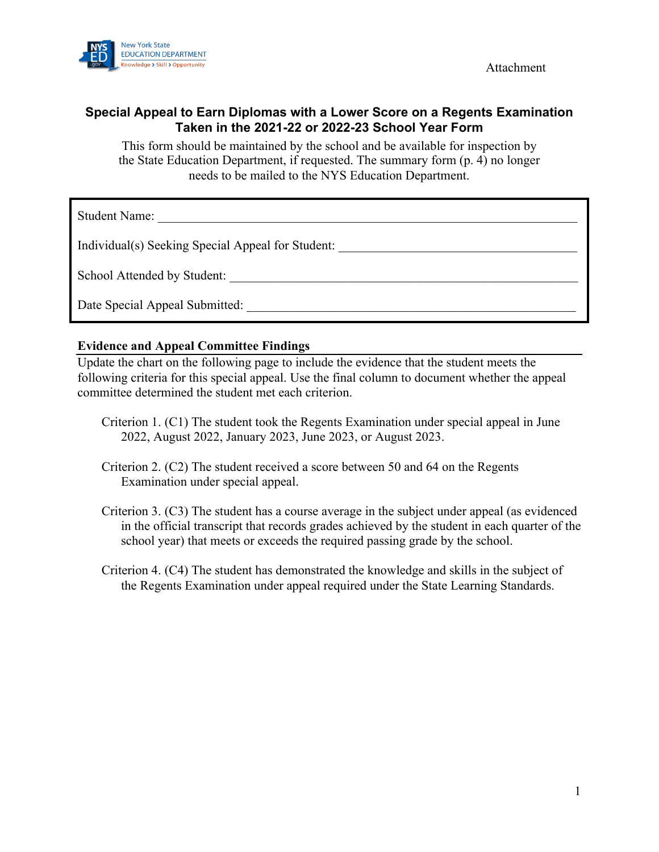Attachment



## **Special Appeal to Earn Diplomas with a Lower Score on a Regents Examination Taken in the 2021-22 or 2022-23 School Year Form**

This form should be maintained by the school and be available for inspection by the State Education Department, if requested. The summary form (p. 4) no longer needs to be mailed to the NYS Education Department.

Student Name:

Individual(s) Seeking Special Appeal for Student: \_\_\_\_\_\_\_\_\_\_\_\_\_\_\_\_\_\_\_\_\_\_\_\_\_\_\_\_\_\_

School Attended by Student: \_\_\_\_\_\_\_\_\_\_\_\_\_\_\_\_\_\_\_\_\_\_\_\_\_\_\_\_\_\_\_\_\_\_\_\_\_\_\_\_\_\_\_\_\_\_\_\_\_\_\_\_\_\_

Date Special Appeal Submitted:  $\Box$ 

### **Evidence and Appeal Committee Findings**

Update the chart on the following page to include the evidence that the student meets the following criteria for this special appeal. Use the final column to document whether the appeal committee determined the student met each criterion.

- Criterion 1. (C1) The student took the Regents Examination under special appeal in June 2022, August 2022, January 2023, June 2023, or August 2023.
- Criterion 2. (C2) The student received a score between 50 and 64 on the Regents Examination under special appeal.
- Criterion 3. (C3) The student has a course average in the subject under appeal (as evidenced in the official transcript that records grades achieved by the student in each quarter of the school year) that meets or exceeds the required passing grade by the school.
- Criterion 4. (C4) The student has demonstrated the knowledge and skills in the subject of the Regents Examination under appeal required under the State Learning Standards.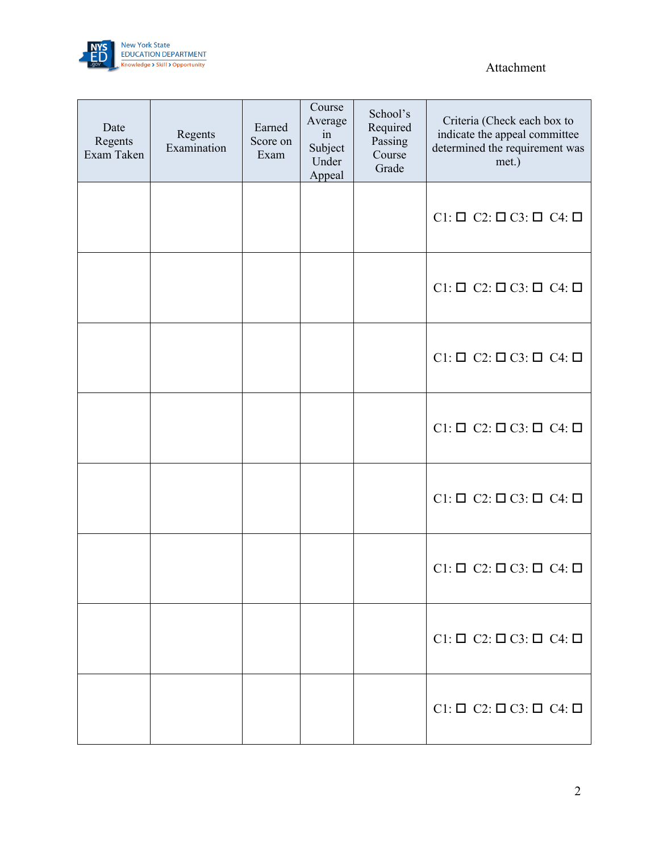

## Attachment

 $\overline{\phantom{0}}$ 

| Date<br>Regents<br>Exam Taken | Regents<br>Examination | Earned<br>Score on<br>Exam | Course<br>Average<br>in<br>Subject<br>Under<br>Appeal | School's<br>Required<br>Passing<br>Course<br>Grade | Criteria (Check each box to<br>indicate the appeal committee<br>determined the requirement was<br>met.) |
|-------------------------------|------------------------|----------------------------|-------------------------------------------------------|----------------------------------------------------|---------------------------------------------------------------------------------------------------------|
|                               |                        |                            |                                                       |                                                    | $Cl: \square$ $Cl: \square$ $Cl: \square$ $Cl: \square$                                                 |
|                               |                        |                            |                                                       |                                                    | $Cl: \square$ $Cl: \square$ $Cl: \square$ $Cl: \square$                                                 |
|                               |                        |                            |                                                       |                                                    | $Cl: \square$ $Cl: \square$ $Cl: \square$ $Cl: \square$                                                 |
|                               |                        |                            |                                                       |                                                    | $Cl: \square$ $Cl: \square$ $Cl: \square$ $Cl: \square$                                                 |
|                               |                        |                            |                                                       |                                                    | $Cl: \square$ $Cl: \square$ $Cl: \square$ $Cl: \square$                                                 |
|                               |                        |                            |                                                       |                                                    | $Cl: \square$ $Cl: \square$ $Cl: \square$ $Cl: \square$                                                 |
|                               |                        |                            |                                                       |                                                    | $Cl: \square$ $Cl: \square$ $Cl: \square$ $Cl: \square$                                                 |
|                               |                        |                            |                                                       |                                                    | $Cl: \square$ $Cl: \square$ $Cl: \square$ $Cl: \square$                                                 |

 $\overline{\phantom{a}}$ 

Ŧ

÷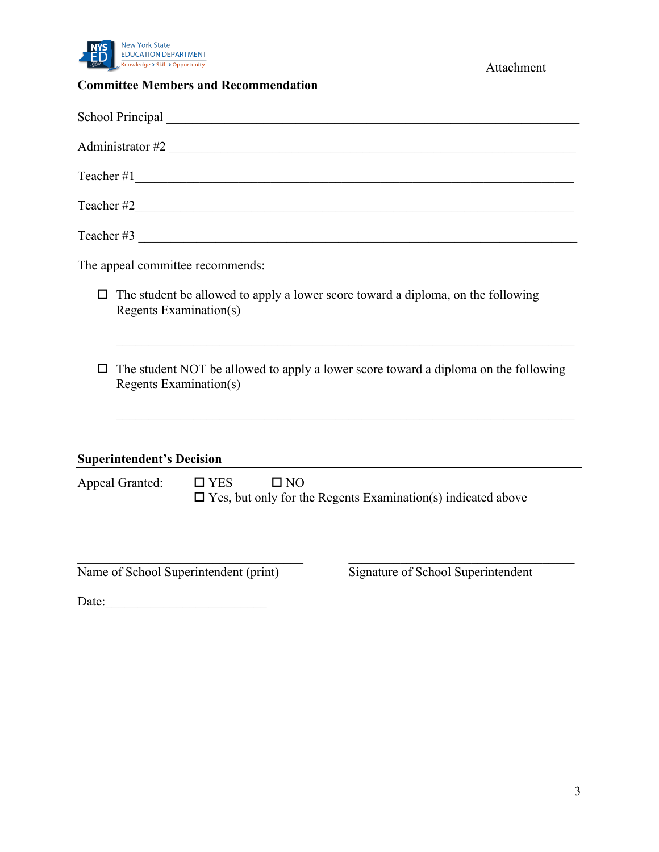

# **Committee Members and Recommendation**

| School Principal Contract Contract Contract Contract Contract Contract Contract Contract Contract Contract Contract Contract Contract Contract Contract Contract Contract Contract Contract Contract Contract Contract Contrac |  |  |  |  |  |  |  |
|--------------------------------------------------------------------------------------------------------------------------------------------------------------------------------------------------------------------------------|--|--|--|--|--|--|--|
| Administrator #2                                                                                                                                                                                                               |  |  |  |  |  |  |  |
|                                                                                                                                                                                                                                |  |  |  |  |  |  |  |
|                                                                                                                                                                                                                                |  |  |  |  |  |  |  |
|                                                                                                                                                                                                                                |  |  |  |  |  |  |  |
| The appeal committee recommends:                                                                                                                                                                                               |  |  |  |  |  |  |  |
| The student be allowed to apply a lower score toward a diploma, on the following<br>□<br><b>Regents Examination(s)</b>                                                                                                         |  |  |  |  |  |  |  |
| The student NOT be allowed to apply a lower score toward a diploma on the following<br><b>Regents Examination(s)</b>                                                                                                           |  |  |  |  |  |  |  |
| <b>Superintendent's Decision</b>                                                                                                                                                                                               |  |  |  |  |  |  |  |
| Appeal Granted:<br>$\square$ NO<br>$\Box$ YES<br>$\square$ Yes, but only for the Regents Examination(s) indicated above                                                                                                        |  |  |  |  |  |  |  |
| Name of School Superintendent (print)<br>Signature of School Superintendent                                                                                                                                                    |  |  |  |  |  |  |  |

Date:\_\_\_\_\_\_\_\_\_\_\_\_\_\_\_\_\_\_\_\_\_\_\_\_\_